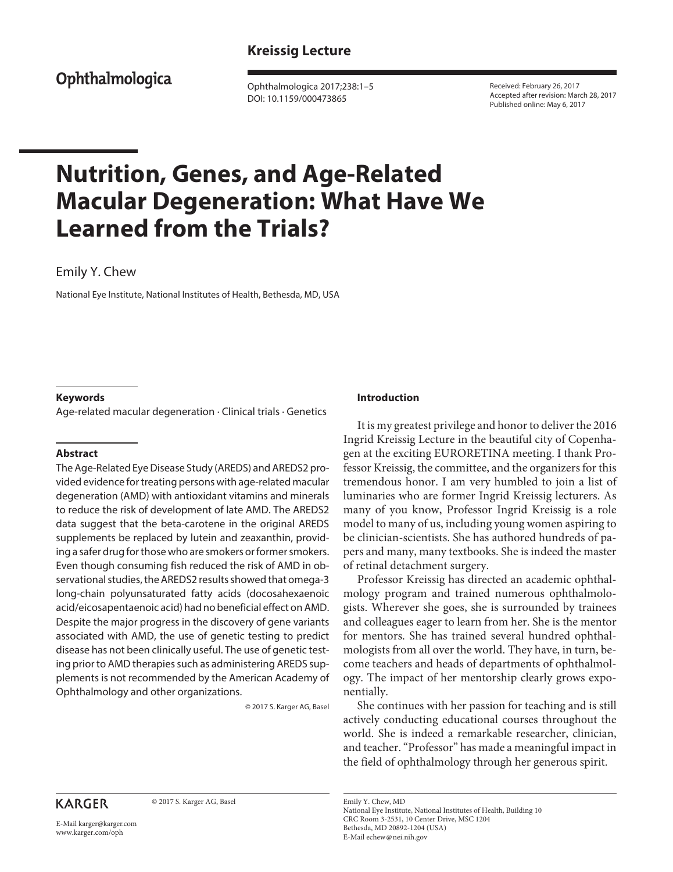# **Kreissig Lecture**

**Ophthalmologica**

 Ophthalmologica 2017;238:1–5 DOI: 10.1159/000473865

 Received: February 26, 2017 Accepted after revision: March 28, 2017 Published online: May 6, 2017

# **Nutrition, Genes, and Age-Related Macular Degeneration: What Have We Learned from the Trials?**

Emily Y. Chew

National Eye Institute, National Institutes of Health, Bethesda, MD, USA

## **Keywords**

Age-related macular degeneration · Clinical trials · Genetics

### **Abstract**

 The Age-Related Eye Disease Study (AREDS) and AREDS2 provided evidence for treating persons with age-related macular degeneration (AMD) with antioxidant vitamins and minerals to reduce the risk of development of late AMD. The AREDS2 data suggest that the beta-carotene in the original AREDS supplements be replaced by lutein and zeaxanthin, providing a safer drug for those who are smokers or former smokers. Even though consuming fish reduced the risk of AMD in observational studies, the AREDS2 results showed that omega-3 long-chain polyunsaturated fatty acids (docosahexaenoic acid/eicosapentaenoic acid) had no beneficial effect on AMD. Despite the major progress in the discovery of gene variants associated with AMD, the use of genetic testing to predict disease has not been clinically useful. The use of genetic testing prior to AMD therapies such as administering AREDS supplements is not recommended by the American Academy of Ophthalmology and other organizations.

© 2017 S. Karger AG, Basel

#### **Introduction**

 It is my greatest privilege and honor to deliver the 2016 Ingrid Kreissig Lecture in the beautiful city of Copenhagen at the exciting EURORETINA meeting. I thank Professor Kreissig, the committee, and the organizers for this tremendous honor. I am very humbled to join a list of luminaries who are former Ingrid Kreissig lecturers. As many of you know, Professor Ingrid Kreissig is a role model to many of us, including young women aspiring to be clinician-scientists. She has authored hundreds of papers and many, many textbooks. She is indeed the master of retinal detachment surgery.

 Professor Kreissig has directed an academic ophthalmology program and trained numerous ophthalmologists. Wherever she goes, she is surrounded by trainees and colleagues eager to learn from her. She is the mentor for mentors. She has trained several hundred ophthalmologists from all over the world. They have, in turn, become teachers and heads of departments of ophthalmology. The impact of her mentorship clearly grows exponentially.

 She continues with her passion for teaching and is still actively conducting educational courses throughout the world. She is indeed a remarkable researcher, clinician, and teacher. "Professor" has made a meaningful impact in the field of ophthalmology through her generous spirit.

# **KARGER**

© 2017 S. Karger AG, Basel

E-Mail karger@karger.com www.karger.com/oph

 Emily Y. Chew, MD National Eye Institute, National Institutes of Health, Building 10 CRC Room 3-2531, 10 Center Drive, MSC 1204 Bethesda, MD 20892-1204 (USA) E-Mail echew @ nei.nih.gov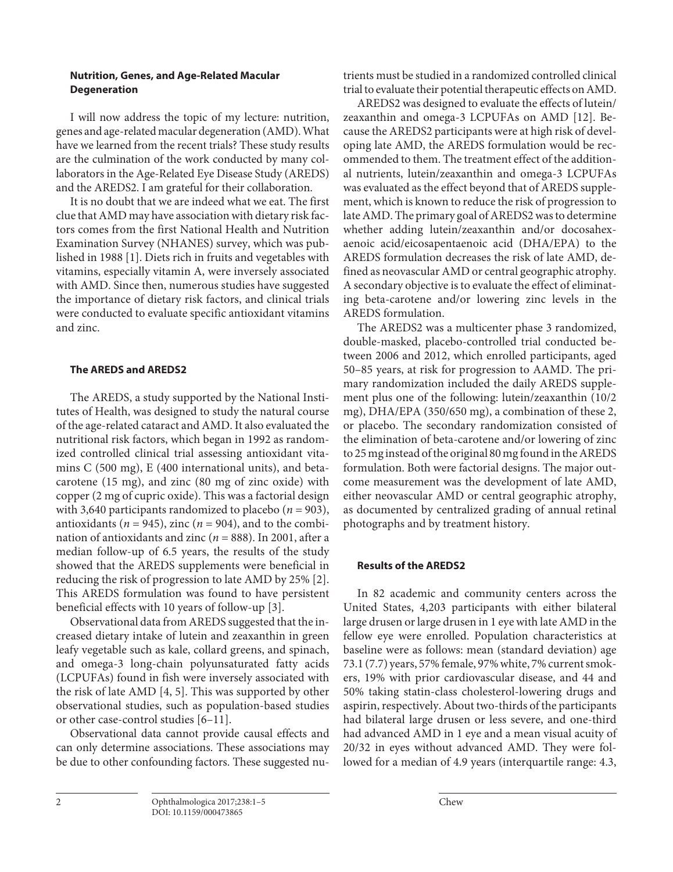## **Nutrition, Genes, and Age-Related Macular Degeneration**

 I will now address the topic of my lecture: nutrition, genes and age-related macular degeneration (AMD). What have we learned from the recent trials? These study results are the culmination of the work conducted by many collaborators in the Age-Related Eye Disease Study (AREDS) and the AREDS2. I am grateful for their collaboration.

 It is no doubt that we are indeed what we eat. The first clue that AMD may have association with dietary risk factors comes from the first National Health and Nutrition Examination Survey (NHANES) survey, which was published in 1988 [1]. Diets rich in fruits and vegetables with vitamins, especially vitamin A, were inversely associated with AMD. Since then, numerous studies have suggested the importance of dietary risk factors, and clinical trials were conducted to evaluate specific antioxidant vitamins and zinc.

## **The AREDS and AREDS2**

 The AREDS, a study supported by the National Institutes of Health, was designed to study the natural course of the age-related cataract and AMD. It also evaluated the nutritional risk factors, which began in 1992 as randomized controlled clinical trial assessing antioxidant vitamins C (500 mg), E (400 international units), and betacarotene (15 mg), and zinc (80 mg of zinc oxide) with copper (2 mg of cupric oxide). This was a factorial design with 3,640 participants randomized to placebo ( $n = 903$ ), antioxidants ( $n = 945$ ), zinc ( $n = 904$ ), and to the combination of antioxidants and zinc ( $n = 888$ ). In 2001, after a median follow-up of 6.5 years, the results of the study showed that the AREDS supplements were beneficial in reducing the risk of progression to late AMD by 25% [2] . This AREDS formulation was found to have persistent beneficial effects with 10 years of follow-up [3] .

 Observational data from AREDS suggested that the increased dietary intake of lutein and zeaxanthin in green leafy vegetable such as kale, collard greens, and spinach, and omega-3 long-chain polyunsaturated fatty acids (LCPUFAs) found in fish were inversely associated with the risk of late AMD [4, 5]. This was supported by other observational studies, such as population-based studies or other case-control studies [6–11].

 Observational data cannot provide causal effects and can only determine associations. These associations may be due to other confounding factors. These suggested nutrients must be studied in a randomized controlled clinical trial to evaluate their potential therapeutic effects on AMD.

 AREDS2 was designed to evaluate the effects of lutein/ zeaxanthin and omega-3 LCPUFAs on AMD [12]. Because the AREDS2 participants were at high risk of developing late AMD, the AREDS formulation would be recommended to them. The treatment effect of the additional nutrients, lutein/zeaxanthin and omega-3 LCPUFAs was evaluated as the effect beyond that of AREDS supplement, which is known to reduce the risk of progression to late AMD. The primary goal of AREDS2 was to determine whether adding lutein/zeaxanthin and/or docosahexaenoic acid/eicosapentaenoic acid (DHA/EPA) to the AREDS formulation decreases the risk of late AMD, defined as neovascular AMD or central geographic atrophy. A secondary objective is to evaluate the effect of eliminating beta-carotene and/or lowering zinc levels in the AREDS formulation.

 The AREDS2 was a multicenter phase 3 randomized, double-masked, placebo-controlled trial conducted between 2006 and 2012, which enrolled participants, aged 50–85 years, at risk for progression to AAMD. The primary randomization included the daily AREDS supplement plus one of the following: lutein/zeaxanthin (10/2 mg), DHA/EPA (350/650 mg), a combination of these 2, or placebo. The secondary randomization consisted of the elimination of beta-carotene and/or lowering of zinc to 25 mg instead of the original 80 mg found in the AREDS formulation. Both were factorial designs. The major outcome measurement was the development of late AMD, either neovascular AMD or central geographic atrophy, as documented by centralized grading of annual retinal photographs and by treatment history.

# **Results of the AREDS2**

 In 82 academic and community centers across the United States, 4,203 participants with either bilateral large drusen or large drusen in 1 eye with late AMD in the fellow eye were enrolled. Population characteristics at baseline were as follows: mean (standard deviation) age 73.1 (7.7) years, 57% female, 97% white, 7% current smokers, 19% with prior cardiovascular disease, and 44 and 50% taking statin-class cholesterol-lowering drugs and aspirin, respectively. About two-thirds of the participants had bilateral large drusen or less severe, and one-third had advanced AMD in 1 eye and a mean visual acuity of 20/32 in eyes without advanced AMD. They were followed for a median of 4.9 years (interquartile range: 4.3,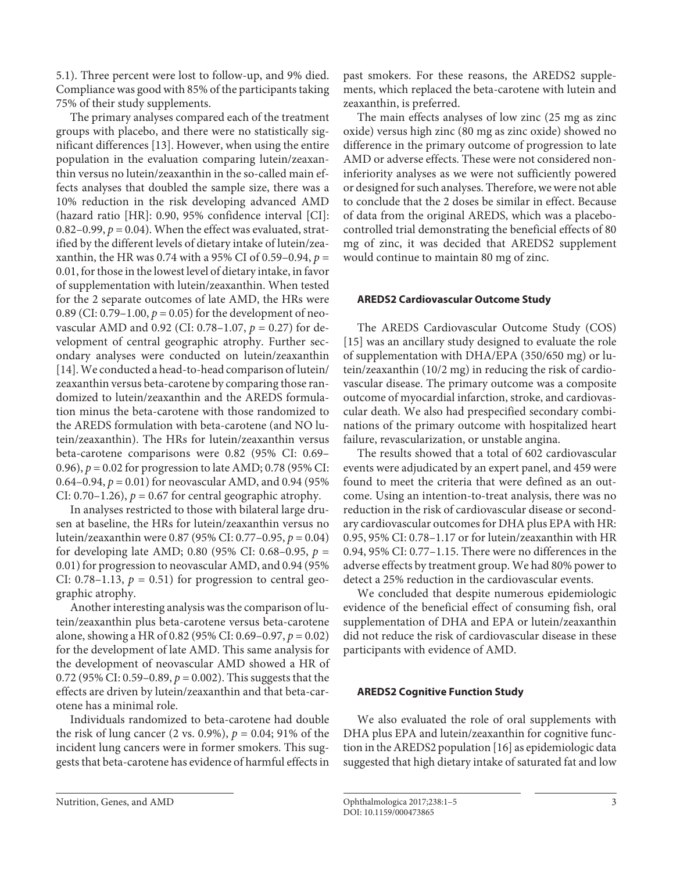5.1). Three percent were lost to follow-up, and 9% died. Compliance was good with 85% of the participants taking 75% of their study supplements.

 The primary analyses compared each of the treatment groups with placebo, and there were no statistically significant differences [13] . However, when using the entire population in the evaluation comparing lutein/zeaxanthin versus no lutein/zeaxanthin in the so-called main effects analyses that doubled the sample size, there was a 10% reduction in the risk developing advanced AMD (hazard ratio [HR]: 0.90, 95% confidence interval [CI]: 0.82–0.99,  $p = 0.04$ ). When the effect was evaluated, stratified by the different levels of dietary intake of lutein/zeaxanthin, the HR was 0.74 with a 95% CI of 0.59–0.94, *p* = 0.01, for those in the lowest level of dietary intake, in favor of supplementation with lutein/zeaxanthin. When tested for the 2 separate outcomes of late AMD, the HRs were 0.89 (CI:  $0.79-1.00$ ,  $p = 0.05$ ) for the development of neovascular AMD and 0.92 (CI: 0.78–1.07, *p* = 0.27) for development of central geographic atrophy. Further secondary analyses were conducted on lutein/zeaxanthin [14]. We conducted a head-to-head comparison of lutein/ zeaxanthin versus beta-carotene by comparing those randomized to lutein/zeaxanthin and the AREDS formulation minus the beta-carotene with those randomized to the AREDS formulation with beta-carotene (and NO lutein/zeaxanthin). The HRs for lutein/zeaxanthin versus beta-carotene comparisons were 0.82 (95% CI: 0.69– 0.96), *p* = 0.02 for progression to late AMD; 0.78 (95% CI: 0.64–0.94, *p* = 0.01) for neovascular AMD, and 0.94 (95% CI: 0.70–1.26),  $p = 0.67$  for central geographic atrophy.

 In analyses restricted to those with bilateral large drusen at baseline, the HRs for lutein/zeaxanthin versus no lutein/zeaxanthin were 0.87 (95% CI: 0.77–0.95, *p* = 0.04) for developing late AMD; 0.80 (95% CI: 0.68–0.95, *p* = 0.01) for progression to neovascular AMD, and 0.94 (95% CI: 0.78–1.13,  $p = 0.51$ ) for progression to central geographic atrophy.

 Another interesting analysis was the comparison of lutein/zeaxanthin plus beta-carotene versus beta-carotene alone, showing a HR of 0.82 (95% CI: 0.69–0.97, *p* = 0.02) for the development of late AMD. This same analysis for the development of neovascular AMD showed a HR of 0.72 (95% CI: 0.59–0.89,  $p = 0.002$ ). This suggests that the effects are driven by lutein/zeaxanthin and that beta-carotene has a minimal role.

 Individuals randomized to beta-carotene had double the risk of lung cancer (2 vs. 0.9%),  $p = 0.04$ ; 91% of the incident lung cancers were in former smokers. This suggests that beta-carotene has evidence of harmful effects in past smokers. For these reasons, the AREDS2 supplements, which replaced the beta-carotene with lutein and zeaxanthin, is preferred.

 The main effects analyses of low zinc (25 mg as zinc oxide) versus high zinc (80 mg as zinc oxide) showed no difference in the primary outcome of progression to late AMD or adverse effects. These were not considered noninferiority analyses as we were not sufficiently powered or designed for such analyses. Therefore, we were not able to conclude that the 2 doses be similar in effect. Because of data from the original AREDS, which was a placebocontrolled trial demonstrating the beneficial effects of 80 mg of zinc, it was decided that AREDS2 supplement would continue to maintain 80 mg of zinc.

### **AREDS2 Cardiovascular Outcome Study**

 The AREDS Cardiovascular Outcome Study (COS) [15] was an ancillary study designed to evaluate the role of supplementation with DHA/EPA (350/650 mg) or lutein/zeaxanthin (10/2 mg) in reducing the risk of cardiovascular disease. The primary outcome was a composite outcome of myocardial infarction, stroke, and cardiovascular death. We also had prespecified secondary combinations of the primary outcome with hospitalized heart failure, revascularization, or unstable angina.

 The results showed that a total of 602 cardiovascular events were adjudicated by an expert panel, and 459 were found to meet the criteria that were defined as an outcome. Using an intention-to-treat analysis, there was no reduction in the risk of cardiovascular disease or secondary cardiovascular outcomes for DHA plus EPA with HR: 0.95, 95% CI: 0.78–1.17 or for lutein/zeaxanthin with HR 0.94, 95% CI: 0.77–1.15. There were no differences in the adverse effects by treatment group. We had 80% power to detect a 25% reduction in the cardiovascular events.

 We concluded that despite numerous epidemiologic evidence of the beneficial effect of consuming fish, oral supplementation of DHA and EPA or lutein/zeaxanthin did not reduce the risk of cardiovascular disease in these participants with evidence of AMD.

### **AREDS2 Cognitive Function Study**

 We also evaluated the role of oral supplements with DHA plus EPA and lutein/zeaxanthin for cognitive function in the AREDS2 population [16] as epidemiologic data suggested that high dietary intake of saturated fat and low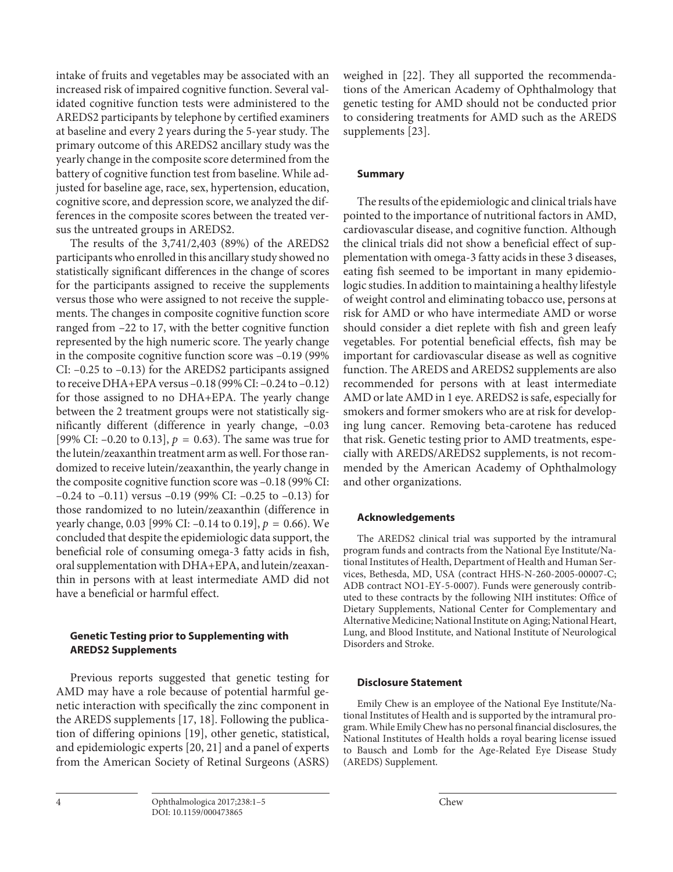intake of fruits and vegetables may be associated with an increased risk of impaired cognitive function. Several validated cognitive function tests were administered to the AREDS2 participants by telephone by certified examiners at baseline and every 2 years during the 5-year study. The primary outcome of this AREDS2 ancillary study was the yearly change in the composite score determined from the battery of cognitive function test from baseline. While adjusted for baseline age, race, sex, hypertension, education, cognitive score, and depression score, we analyzed the differences in the composite scores between the treated versus the untreated groups in AREDS2.

 The results of the 3,741/2,403 (89%) of the AREDS2 participants who enrolled in this ancillary study showed no statistically significant differences in the change of scores for the participants assigned to receive the supplements versus those who were assigned to not receive the supplements. The changes in composite cognitive function score ranged from –22 to 17, with the better cognitive function represented by the high numeric score. The yearly change in the composite cognitive function score was –0.19 (99% CI: –0.25 to –0.13) for the AREDS2 participants assigned to receive DHA+EPA versus –0.18 (99% CI: –0.24 to –0.12) for those assigned to no DHA+EPA. The yearly change between the 2 treatment groups were not statistically significantly different (difference in yearly change, –0.03 [99% CI: –0.20 to 0.13], *p* = 0.63). The same was true for the lutein/zeaxanthin treatment arm as well. For those randomized to receive lutein/zeaxanthin, the yearly change in the composite cognitive function score was –0.18 (99% CI: –0.24 to –0.11) versus –0.19 (99% CI: –0.25 to –0.13) for those randomized to no lutein/zeaxanthin (difference in yearly change, 0.03 [99% CI: –0.14 to 0.19], *p* = 0.66). We concluded that despite the epidemiologic data support, the beneficial role of consuming omega-3 fatty acids in fish, oral supplementation with DHA+EPA, and lutein/zeaxanthin in persons with at least intermediate AMD did not have a beneficial or harmful effect.

# **Genetic Testing prior to Supplementing with AREDS2 Supplements**

 Previous reports suggested that genetic testing for AMD may have a role because of potential harmful genetic interaction with specifically the zinc component in the AREDS supplements [17, 18]. Following the publication of differing opinions [19], other genetic, statistical, and epidemiologic experts [20, 21] and a panel of experts from the American Society of Retinal Surgeons (ASRS)

weighed in [22]. They all supported the recommendations of the American Academy of Ophthalmology that genetic testing for AMD should not be conducted prior to considering treatments for AMD such as the AREDS supplements [23].

## **Summary**

 The results of the epidemiologic and clinical trials have pointed to the importance of nutritional factors in AMD, cardiovascular disease, and cognitive function. Although the clinical trials did not show a beneficial effect of supplementation with omega-3 fatty acids in these 3 diseases, eating fish seemed to be important in many epidemiologic studies. In addition to maintaining a healthy lifestyle of weight control and eliminating tobacco use, persons at risk for AMD or who have intermediate AMD or worse should consider a diet replete with fish and green leafy vegetables. For potential beneficial effects, fish may be important for cardiovascular disease as well as cognitive function. The AREDS and AREDS2 supplements are also recommended for persons with at least intermediate AMD or late AMD in 1 eye. AREDS2 is safe, especially for smokers and former smokers who are at risk for developing lung cancer. Removing beta-carotene has reduced that risk. Genetic testing prior to AMD treatments, especially with AREDS/AREDS2 supplements, is not recommended by the American Academy of Ophthalmology and other organizations.

## **Acknowledgements**

 The AREDS2 clinical trial was supported by the intramural program funds and contracts from the National Eye Institute/National Institutes of Health, Department of Health and Human Services, Bethesda, MD, USA (contract HHS-N-260-2005-00007-C; ADB contract NO1-EY-5-0007). Funds were generously contributed to these contracts by the following NIH institutes: Office of Dietary Supplements, National Center for Complementary and Alternative Medicine; National Institute on Aging; National Heart, Lung, and Blood Institute, and National Institute of Neurological Disorders and Stroke.

## **Disclosure Statement**

 Emily Chew is an employee of the National Eye Institute/National Institutes of Health and is supported by the intramural program. While Emily Chew has no personal financial disclosures, the National Institutes of Health holds a royal bearing license issued to Bausch and Lomb for the Age-Related Eye Disease Study (AREDS) Supplement.